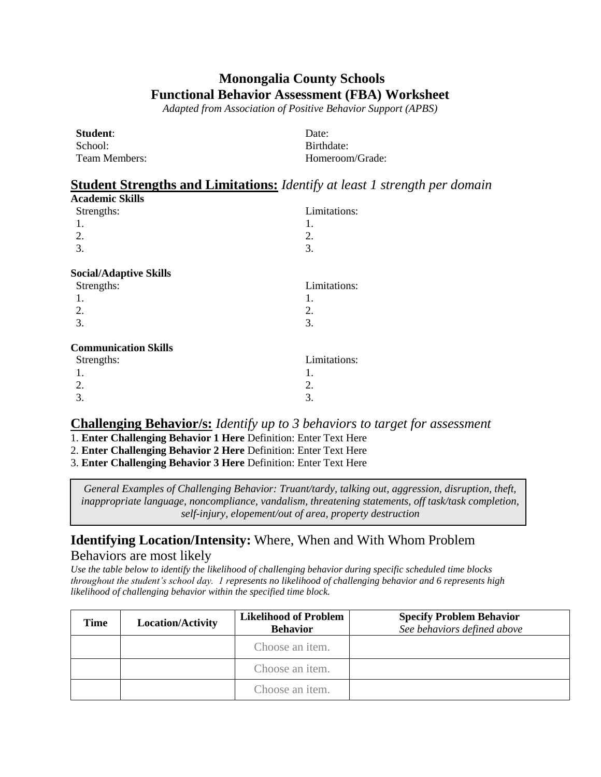# **Monongalia County Schools Functional Behavior Assessment (FBA) Worksheet**

*Adapted from Association of Positive Behavior Support (APBS)*

| Student:      | Date:           |
|---------------|-----------------|
| School:       | Birthdate:      |
| Team Members: | Homeroom/Grade: |

# **Student Strengths and Limitations:** *Identify at least 1 strength per domain*

| <b>Academic Skills</b>        |              |
|-------------------------------|--------------|
| Strengths:                    | Limitations: |
| 1.                            | 1.           |
| 2.                            | 2.           |
| 3.                            | 3.           |
| <b>Social/Adaptive Skills</b> |              |
| Strengths:                    | Limitations: |
| 1.                            | 1.           |
| 2.                            | 2.           |
| 3.                            | 3.           |
| <b>Communication Skills</b>   |              |
| Strengths:                    | Limitations: |
| 1.                            | 1.           |
| 2.                            | 2.           |
| 3.                            | 3.           |

#### **Challenging Behavior/s:** *Identify up to 3 behaviors to target for assessment*

- 1. **Enter Challenging Behavior 1 Here** Definition: Enter Text Here
- 2. **Enter Challenging Behavior 2 Here** Definition: Enter Text Here
- 3. **Enter Challenging Behavior 3 Here** Definition: Enter Text Here

*General Examples of Challenging Behavior: Truant/tardy, talking out, aggression, disruption, theft, inappropriate language, noncompliance, vandalism, threatening statements, off task/task completion, self-injury, elopement/out of area, property destruction*

### **Identifying Location/Intensity:** Where, When and With Whom Problem Behaviors are most likely

*Use the table below to identify the likelihood of challenging behavior during specific scheduled time blocks throughout the student's school day. 1 represents no likelihood of challenging behavior and 6 represents high likelihood of challenging behavior within the specified time block.*

| Time | <b>Location/Activity</b> | <b>Likelihood of Problem</b><br><b>Behavior</b> | <b>Specify Problem Behavior</b><br>See behaviors defined above |
|------|--------------------------|-------------------------------------------------|----------------------------------------------------------------|
|      |                          | Choose an item.                                 |                                                                |
|      |                          | Choose an item.                                 |                                                                |
|      |                          | Choose an item.                                 |                                                                |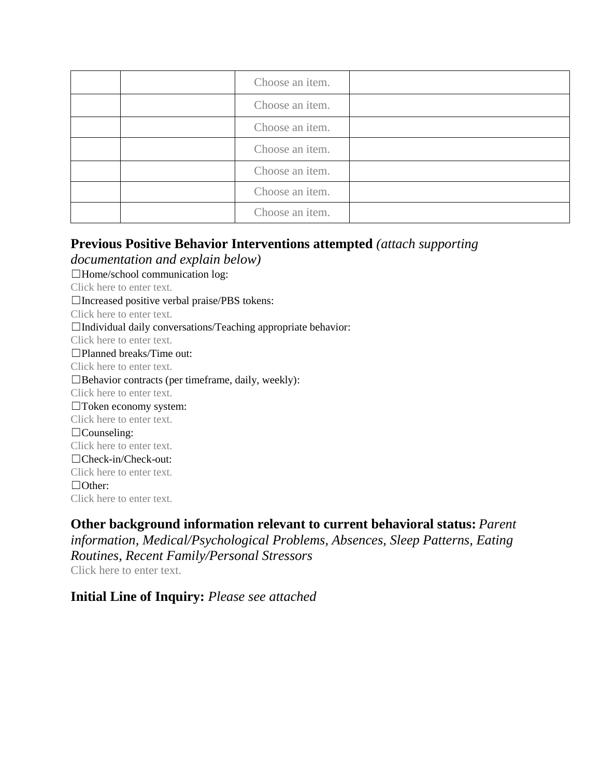|  | Choose an item. |  |
|--|-----------------|--|
|  | Choose an item. |  |
|  | Choose an item. |  |
|  | Choose an item. |  |
|  | Choose an item. |  |
|  | Choose an item. |  |
|  | Choose an item. |  |

### **Previous Positive Behavior Interventions attempted** *(attach supporting*

*documentation and explain below)* ☐Home/school communication log: Click here to enter text. ☐Increased positive verbal praise/PBS tokens: Click here to enter text. □Individual daily conversations/Teaching appropriate behavior: Click here to enter text. ☐Planned breaks/Time out: Click here to enter text.  $\Box$ Behavior contracts (per timeframe, daily, weekly): Click here to enter text. ☐Token economy system: Click here to enter text. ☐Counseling: Click here to enter text. ☐Check-in/Check-out: Click here to enter text. ☐Other: Click here to enter text.

**Other background information relevant to current behavioral status:** *Parent information, Medical/Psychological Problems, Absences, Sleep Patterns, Eating Routines, Recent Family/Personal Stressors* Click here to enter text.

**Initial Line of Inquiry:** *Please see attached*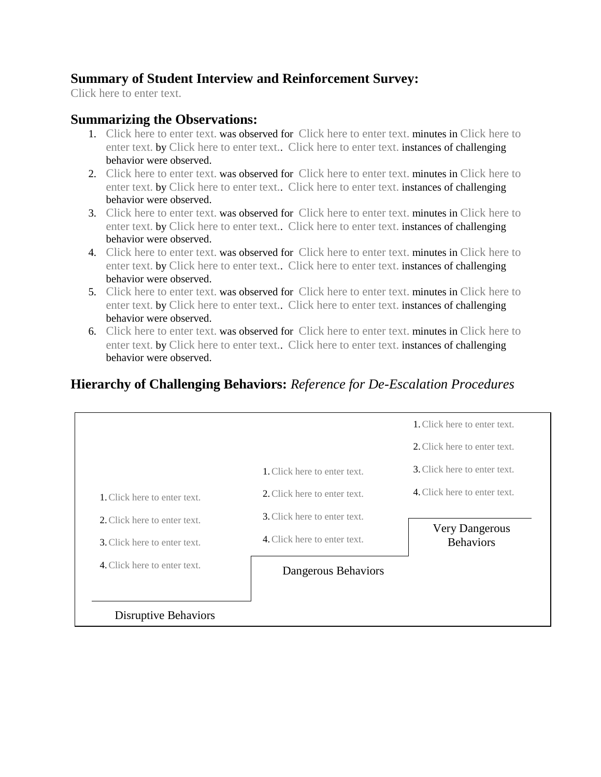## **Summary of Student Interview and Reinforcement Survey:**

Click here to enter text.

#### **Summarizing the Observations:**

- 1. Click here to enter text. was observed for Click here to enter text. minutes in Click here to enter text. by Click here to enter text.. Click here to enter text. instances of challenging behavior were observed.
- 2. Click here to enter text. was observed for Click here to enter text. minutes in Click here to enter text. by Click here to enter text.. Click here to enter text. instances of challenging behavior were observed.
- 3. Click here to enter text. was observed for Click here to enter text. minutes in Click here to enter text. by Click here to enter text.. Click here to enter text. instances of challenging behavior were observed.
- 4. Click here to enter text. was observed for Click here to enter text. minutes in Click here to enter text. by Click here to enter text.. Click here to enter text. instances of challenging behavior were observed.
- 5. Click here to enter text. was observed for Click here to enter text. minutes in Click here to enter text. by Click here to enter text.. Click here to enter text. instances of challenging behavior were observed.
- 6. Click here to enter text. was observed for Click here to enter text. minutes in Click here to enter text. by Click here to enter text.. Click here to enter text. instances of challenging behavior were observed.

## **Hierarchy of Challenging Behaviors:** *Reference for De-Escalation Procedures*

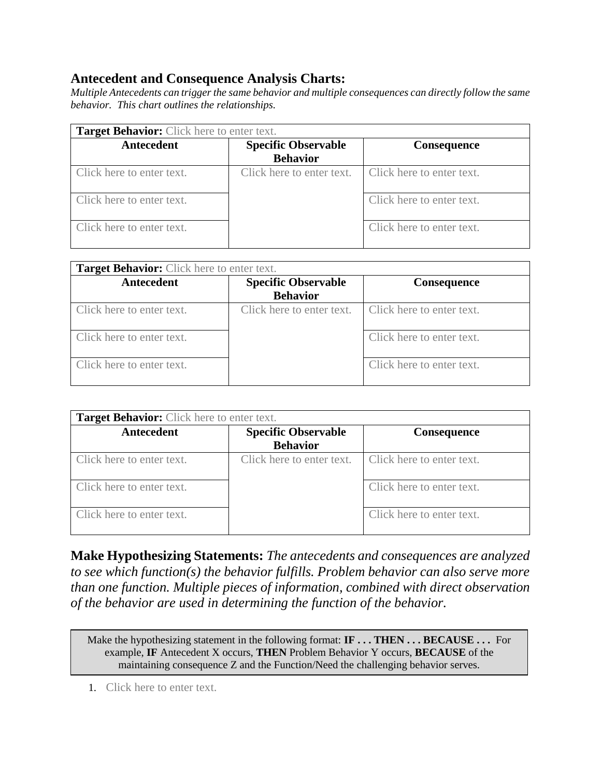## **Antecedent and Consequence Analysis Charts:**

*Multiple Antecedents can trigger the same behavior and multiple consequences can directly follow the same behavior. This chart outlines the relationships.*

| <b>Target Behavior:</b> Click here to enter text. |                            |                           |
|---------------------------------------------------|----------------------------|---------------------------|
| <b>Antecedent</b>                                 | <b>Specific Observable</b> | <b>Consequence</b>        |
|                                                   | <b>Behavior</b>            |                           |
| Click here to enter text.                         | Click here to enter text.  | Click here to enter text. |
| Click here to enter text.                         |                            | Click here to enter text. |
| Click here to enter text.                         |                            | Click here to enter text. |

| Target Behavior: Click here to enter text. |                                               |                           |
|--------------------------------------------|-----------------------------------------------|---------------------------|
| Antecedent                                 | <b>Specific Observable</b><br><b>Behavior</b> | <b>Consequence</b>        |
| Click here to enter text.                  | Click here to enter text.                     | Click here to enter text. |
| Click here to enter text.                  |                                               | Click here to enter text. |
| Click here to enter text.                  |                                               | Click here to enter text. |

| <b>Target Behavior:</b> Click here to enter text. |                                               |                           |
|---------------------------------------------------|-----------------------------------------------|---------------------------|
| Antecedent                                        | <b>Specific Observable</b><br><b>Behavior</b> | <b>Consequence</b>        |
| Click here to enter text.                         | Click here to enter text.                     | Click here to enter text. |
| Click here to enter text.                         |                                               | Click here to enter text. |
| Click here to enter text.                         |                                               | Click here to enter text. |

**Make Hypothesizing Statements:** *The antecedents and consequences are analyzed to see which function(s) the behavior fulfills. Problem behavior can also serve more than one function. Multiple pieces of information, combined with direct observation of the behavior are used in determining the function of the behavior.*

Make the hypothesizing statement in the following format: **IF ... THEN ... BECAUSE ...** For example, **IF** Antecedent X occurs, **THEN** Problem Behavior Y occurs, **BECAUSE** of the maintaining consequence Z and the Function/Need the challenging behavior serves.

1. Click here to enter text.